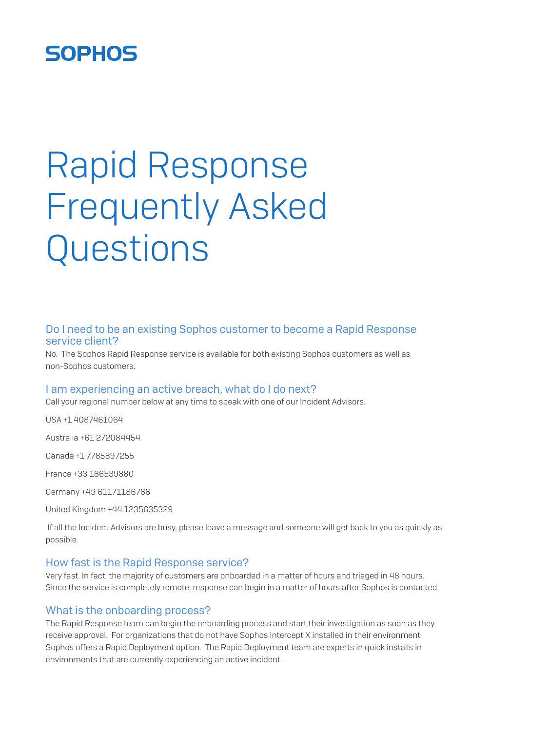# **SOPHOS**

# Rapid Response Frequently Asked **Questions**

# Do I need to be an existing Sophos customer to become a Rapid Response service client?

No. The Sophos Rapid Response service is available for both existing Sophos customers as well as non-Sophos customers.

## I am experiencing an active breach, what do I do next?

Call your regional number below at any time to speak with one of our Incident Advisors.

USA +1 4087461064

Australia +61 272084454

Canada +1 7785897255

France +33 186539880

Germany +49 61171186766

United Kingdom +44 1235635329

 If all the Incident Advisors are busy, please leave a message and someone will get back to you as quickly as possible.

#### How fast is the Rapid Response service?

Very fast. In fact, the majority of customers are onboarded in a matter of hours and triaged in 48 hours. Since the service is completely remote, response can begin in a matter of hours after Sophos is contacted.

#### What is the onboarding process?

The Rapid Response team can begin the onboarding process and start their investigation as soon as they receive approval. For organizations that do not have Sophos Intercept X installed in their environment Sophos offers a Rapid Deployment option. The Rapid Deployment team are experts in quick installs in environments that are currently experiencing an active incident.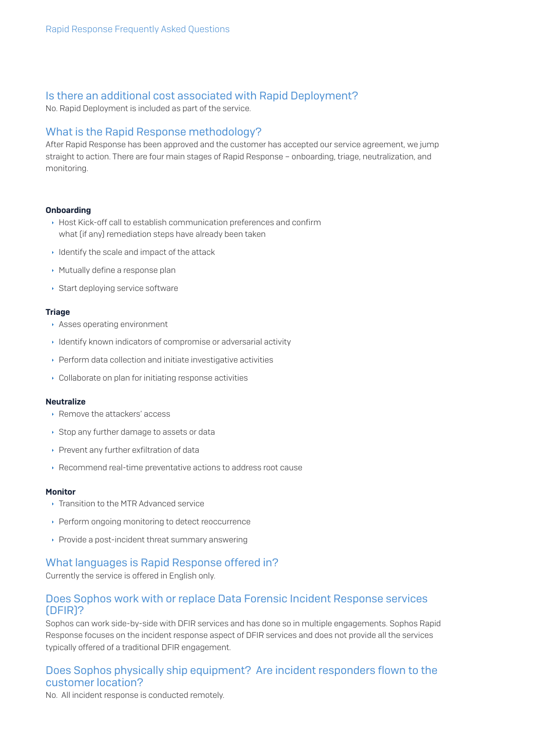# Is there an additional cost associated with Rapid Deployment?

No. Rapid Deployment is included as part of the service.

# What is the Rapid Response methodology?

After Rapid Response has been approved and the customer has accepted our service agreement, we jump straight to action. There are four main stages of Rapid Response – onboarding, triage, neutralization, and monitoring.

#### Onboarding

- **Host Kick-off call to establish communication preferences and confirm** what (if any) remediation steps have already been taken
- $\cdot$  Identify the scale and impact of the attack
- **Mutually define a response plan**
- $\cdot$  Start deploying service software

#### **Triage**

- **Asses operating environment**
- $\cdot$  Identify known indicators of compromise or adversarial activity
- $\rightarrow$  Perform data collection and initiate investigative activities
- $\cdot$  Collaborate on plan for initiating response activities

#### **Neutralize**

- ▸ Remove the attackers' access
- ▸ Stop any further damage to assets or data
- $\rightarrow$  Prevent any further exfiltration of data
- $\rightarrow$  Recommend real-time preventative actions to address root cause

#### **Monitor**

- $\cdot$  Transition to the MTR Advanced service
- ▸ Perform ongoing monitoring to detect reoccurrence
- **Provide a post-incident threat summary answering**

## What languages is Rapid Response offered in?

Currently the service is offered in English only.

# Does Sophos work with or replace Data Forensic Incident Response services (DFIR)?

Sophos can work side-by-side with DFIR services and has done so in multiple engagements. Sophos Rapid Response focuses on the incident response aspect of DFIR services and does not provide all the services typically offered of a traditional DFIR engagement.

# Does Sophos physically ship equipment? Are incident responders flown to the customer location?

No. All incident response is conducted remotely.